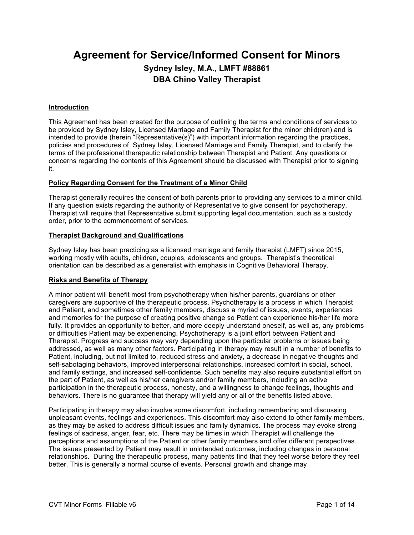# **Agreement for Service/Informed Consent for Minors Sydney Isley, M.A., LMFT #88861 DBA Chino Valley Therapist**

## **Introduction**

This Agreement has been created for the purpose of outlining the terms and conditions of services to be provided by Sydney Isley, Licensed Marriage and Family Therapist for the minor child(ren) and is intended to provide (herein "Representative(s)") with important information regarding the practices, policies and procedures of Sydney Isley, Licensed Marriage and Family Therapist, and to clarify the terms of the professional therapeutic relationship between Therapist and Patient. Any questions or concerns regarding the contents of this Agreement should be discussed with Therapist prior to signing it.

## **Policy Regarding Consent for the Treatment of a Minor Child**

Therapist generally requires the consent of both parents prior to providing any services to a minor child. If any question exists regarding the authority of Representative to give consent for psychotherapy, Therapist will require that Representative submit supporting legal documentation, such as a custody order, prior to the commencement of services.

## **Therapist Background and Qualifications**

Sydney Isley has been practicing as a licensed marriage and family therapist (LMFT) since 2015, working mostly with adults, children, couples, adolescents and groups. Therapist's theoretical orientation can be described as a generalist with emphasis in Cognitive Behavioral Therapy.

## **Risks and Benefits of Therapy**

A minor patient will benefit most from psychotherapy when his/her parents, guardians or other caregivers are supportive of the therapeutic process. Psychotherapy is a process in which Therapist and Patient, and sometimes other family members, discuss a myriad of issues, events, experiences and memories for the purpose of creating positive change so Patient can experience his/her life more fully. It provides an opportunity to better, and more deeply understand oneself, as well as, any problems or difficulties Patient may be experiencing. Psychotherapy is a joint effort between Patient and Therapist. Progress and success may vary depending upon the particular problems or issues being addressed, as well as many other factors. Participating in therapy may result in a number of benefits to Patient, including, but not limited to, reduced stress and anxiety, a decrease in negative thoughts and self-sabotaging behaviors, improved interpersonal relationships, increased comfort in social, school, and family settings, and increased self-confidence. Such benefits may also require substantial effort on the part of Patient, as well as his/her caregivers and/or family members, including an active participation in the therapeutic process, honesty, and a willingness to change feelings, thoughts and behaviors. There is no guarantee that therapy will yield any or all of the benefits listed above.

Participating in therapy may also involve some discomfort, including remembering and discussing unpleasant events, feelings and experiences. This discomfort may also extend to other family members, as they may be asked to address difficult issues and family dynamics. The process may evoke strong feelings of sadness, anger, fear, etc. There may be times in which Therapist will challenge the perceptions and assumptions of the Patient or other family members and offer different perspectives. The issues presented by Patient may result in unintended outcomes, including changes in personal relationships. During the therapeutic process, many patients find that they feel worse before they feel better. This is generally a normal course of events. Personal growth and change may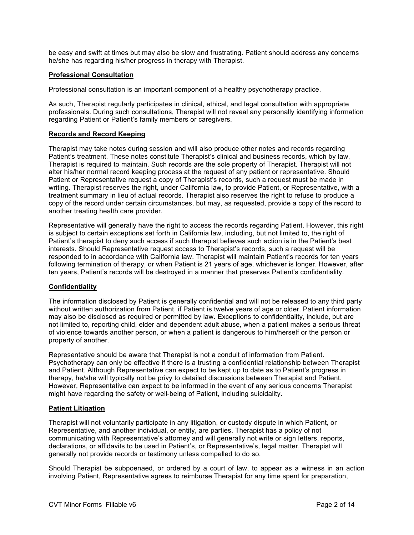be easy and swift at times but may also be slow and frustrating. Patient should address any concerns he/she has regarding his/her progress in therapy with Therapist.

### **Professional Consultation**

Professional consultation is an important component of a healthy psychotherapy practice.

As such, Therapist regularly participates in clinical, ethical, and legal consultation with appropriate professionals. During such consultations, Therapist will not reveal any personally identifying information regarding Patient or Patient's family members or caregivers.

## **Records and Record Keeping**

Therapist may take notes during session and will also produce other notes and records regarding Patient's treatment. These notes constitute Therapist's clinical and business records, which by law, Therapist is required to maintain. Such records are the sole property of Therapist. Therapist will not alter his/her normal record keeping process at the request of any patient or representative. Should Patient or Representative request a copy of Therapist's records, such a request must be made in writing. Therapist reserves the right, under California law, to provide Patient, or Representative, with a treatment summary in lieu of actual records. Therapist also reserves the right to refuse to produce a copy of the record under certain circumstances, but may, as requested, provide a copy of the record to another treating health care provider.

Representative will generally have the right to access the records regarding Patient. However, this right is subject to certain exceptions set forth in California law, including, but not limited to, the right of Patient's therapist to deny such access if such therapist believes such action is in the Patient's best interests. Should Representative request access to Therapist's records, such a request will be responded to in accordance with California law. Therapist will maintain Patient's records for ten years following termination of therapy, or when Patient is 21 years of age, whichever is longer. However, after ten years, Patient's records will be destroyed in a manner that preserves Patient's confidentiality.

## **Confidentiality**

The information disclosed by Patient is generally confidential and will not be released to any third party without written authorization from Patient, if Patient is twelve years of age or older. Patient information may also be disclosed as required or permitted by law. Exceptions to confidentiality, include, but are not limited to, reporting child, elder and dependent adult abuse, when a patient makes a serious threat of violence towards another person, or when a patient is dangerous to him/herself or the person or property of another.

Representative should be aware that Therapist is not a conduit of information from Patient. Psychotherapy can only be effective if there is a trusting a confidential relationship between Therapist and Patient. Although Representative can expect to be kept up to date as to Patient's progress in therapy, he/she will typically not be privy to detailed discussions between Therapist and Patient. However, Representative can expect to be informed in the event of any serious concerns Therapist might have regarding the safety or well-being of Patient, including suicidality.

### **Patient Litigation**

Therapist will not voluntarily participate in any litigation, or custody dispute in which Patient, or Representative, and another individual, or entity, are parties. Therapist has a policy of not communicating with Representative's attorney and will generally not write or sign letters, reports, declarations, or affidavits to be used in Patient's, or Representative's, legal matter. Therapist will generally not provide records or testimony unless compelled to do so.

Should Therapist be subpoenaed, or ordered by a court of law, to appear as a witness in an action involving Patient, Representative agrees to reimburse Therapist for any time spent for preparation,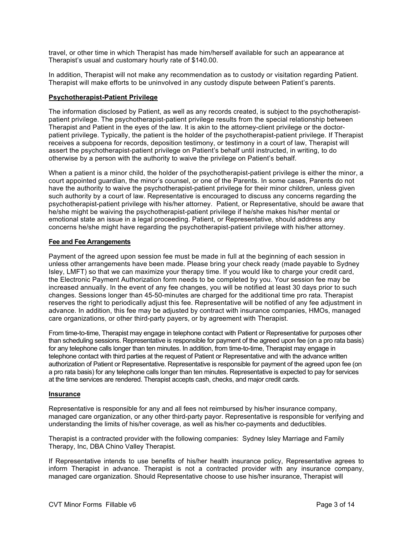travel, or other time in which Therapist has made him/herself available for such an appearance at Therapist's usual and customary hourly rate of \$140.00.

In addition, Therapist will not make any recommendation as to custody or visitation regarding Patient. Therapist will make efforts to be uninvolved in any custody dispute between Patient's parents.

### **Psychotherapist-Patient Privilege**

The information disclosed by Patient, as well as any records created, is subject to the psychotherapistpatient privilege. The psychotherapist-patient privilege results from the special relationship between Therapist and Patient in the eyes of the law. It is akin to the attorney-client privilege or the doctorpatient privilege. Typically, the patient is the holder of the psychotherapist-patient privilege. If Therapist receives a subpoena for records, deposition testimony, or testimony in a court of law, Therapist will assert the psychotherapist-patient privilege on Patient's behalf until instructed, in writing, to do otherwise by a person with the authority to waive the privilege on Patient's behalf.

When a patient is a minor child, the holder of the psychotherapist-patient privilege is either the minor, a court appointed guardian, the minor's counsel, or one of the Parents. In some cases, Parents do not have the authority to waive the psychotherapist-patient privilege for their minor children, unless given such authority by a court of law. Representative is encouraged to discuss any concerns regarding the psychotherapist-patient privilege with his/her attorney. Patient, or Representative, should be aware that he/she might be waiving the psychotherapist-patient privilege if he/she makes his/her mental or emotional state an issue in a legal proceeding. Patient, or Representative, should address any concerns he/she might have regarding the psychotherapist-patient privilege with his/her attorney.

## **Fee and Fee Arrangements**

Payment of the agreed upon session fee must be made in full at the beginning of each session in unless other arrangements have been made. Please bring your check ready (made payable to Sydney Isley, LMFT) so that we can maximize your therapy time. If you would like to charge your credit card, the Electronic Payment Authorization form needs to be completed by you. Your session fee may be increased annually. In the event of any fee changes, you will be notified at least 30 days prior to such changes. Sessions longer than 45-50-minutes are charged for the additional time pro rata. Therapist reserves the right to periodically adjust this fee. Representative will be notified of any fee adjustment in advance. In addition, this fee may be adjusted by contract with insurance companies, HMOs, managed care organizations, or other third-party payers, or by agreement with Therapist.

From time-to-time, Therapist may engage in telephone contact with Patient or Representative for purposes other than scheduling sessions. Representative is responsible for payment of the agreed upon fee (on a pro rata basis) for any telephone calls longer than ten minutes. In addition, from time-to-time, Therapist may engage in telephone contact with third parties at the request of Patient or Representative and with the advance written authorization of Patient or Representative. Representative is responsible for payment of the agreed upon fee (on a pro rata basis) for any telephone calls longer than ten minutes. Representative is expected to pay for services at the time services are rendered. Therapist accepts cash, checks, and major credit cards.

### **Insurance**

Representative is responsible for any and all fees not reimbursed by his/her insurance company, managed care organization, or any other third-party payor. Representative is responsible for verifying and understanding the limits of his/her coverage, as well as his/her co-payments and deductibles.

Therapist is a contracted provider with the following companies: Sydney Isley Marriage and Family Therapy, Inc, DBA Chino Valley Therapist.

If Representative intends to use benefits of his/her health insurance policy, Representative agrees to inform Therapist in advance. Therapist is not a contracted provider with any insurance company, managed care organization. Should Representative choose to use his/her insurance, Therapist will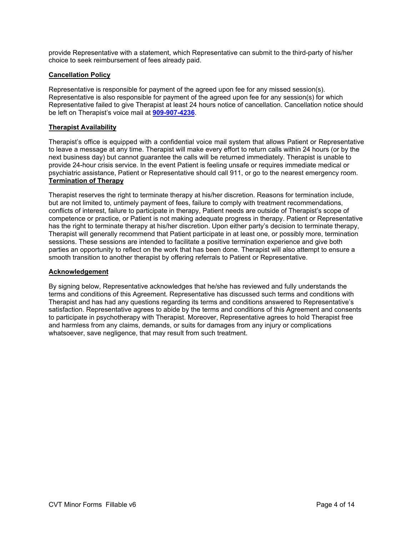provide Representative with a statement, which Representative can submit to the third-party of his/her choice to seek reimbursement of fees already paid.

### **Cancellation Policy**

Representative is responsible for payment of the agreed upon fee for any missed session(s). Representative is also responsible for payment of the agreed upon fee for any session(s) for which Representative failed to give Therapist at least 24 hours notice of cancellation. Cancellation notice should be left on Therapist's voice mail at **909-907-4236**.

## **Therapist Availability**

Therapist's office is equipped with a confidential voice mail system that allows Patient or Representative to leave a message at any time. Therapist will make every effort to return calls within 24 hours (or by the next business day) but cannot guarantee the calls will be returned immediately. Therapist is unable to provide 24-hour crisis service. In the event Patient is feeling unsafe or requires immediate medical or psychiatric assistance, Patient or Representative should call 911, or go to the nearest emergency room. **Termination of Therapy** 

Therapist reserves the right to terminate therapy at his/her discretion. Reasons for termination include, but are not limited to, untimely payment of fees, failure to comply with treatment recommendations, conflicts of interest, failure to participate in therapy, Patient needs are outside of Therapist's scope of competence or practice, or Patient is not making adequate progress in therapy. Patient or Representative has the right to terminate therapy at his/her discretion. Upon either party's decision to terminate therapy, Therapist will generally recommend that Patient participate in at least one, or possibly more, termination sessions. These sessions are intended to facilitate a positive termination experience and give both parties an opportunity to reflect on the work that has been done. Therapist will also attempt to ensure a smooth transition to another therapist by offering referrals to Patient or Representative.

### **Acknowledgement**

By signing below, Representative acknowledges that he/she has reviewed and fully understands the terms and conditions of this Agreement. Representative has discussed such terms and conditions with Therapist and has had any questions regarding its terms and conditions answered to Representative's satisfaction. Representative agrees to abide by the terms and conditions of this Agreement and consents to participate in psychotherapy with Therapist. Moreover, Representative agrees to hold Therapist free and harmless from any claims, demands, or suits for damages from any injury or complications whatsoever, save negligence, that may result from such treatment.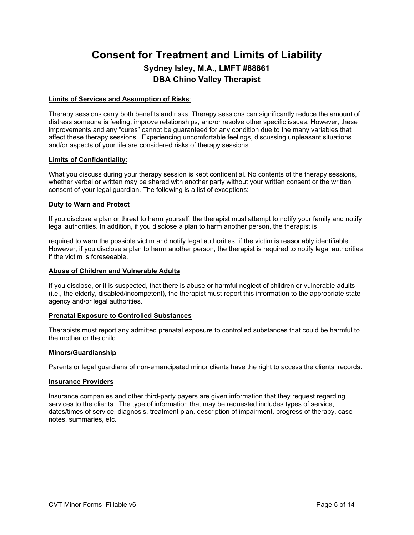# **Consent for Treatment and Limits of Liability Sydney Isley, M.A., LMFT #88861 DBA Chino Valley Therapist**

### **Limits of Services and Assumption of Risks**:

Therapy sessions carry both benefits and risks. Therapy sessions can significantly reduce the amount of distress someone is feeling, improve relationships, and/or resolve other specific issues. However, these improvements and any "cures" cannot be guaranteed for any condition due to the many variables that affect these therapy sessions. Experiencing uncomfortable feelings, discussing unpleasant situations and/or aspects of your life are considered risks of therapy sessions.

#### **Limits of Confidentiality**:

What you discuss during your therapy session is kept confidential. No contents of the therapy sessions, whether verbal or written may be shared with another party without your written consent or the written consent of your legal guardian. The following is a list of exceptions:

#### **Duty to Warn and Protect**

If you disclose a plan or threat to harm yourself, the therapist must attempt to notify your family and notify legal authorities. In addition, if you disclose a plan to harm another person, the therapist is

required to warn the possible victim and notify legal authorities, if the victim is reasonably identifiable. However, if you disclose a plan to harm another person, the therapist is required to notify legal authorities if the victim is foreseeable.

#### **Abuse of Children and Vulnerable Adults**

If you disclose, or it is suspected, that there is abuse or harmful neglect of children or vulnerable adults (i.e., the elderly, disabled/incompetent), the therapist must report this information to the appropriate state agency and/or legal authorities.

### **Prenatal Exposure to Controlled Substances**

Therapists must report any admitted prenatal exposure to controlled substances that could be harmful to the mother or the child.

#### **Minors/Guardianship**

Parents or legal guardians of non-emancipated minor clients have the right to access the clients' records.

#### **Insurance Providers**

Insurance companies and other third-party payers are given information that they request regarding services to the clients. The type of information that may be requested includes types of service, dates/times of service, diagnosis, treatment plan, description of impairment, progress of therapy, case notes, summaries, etc.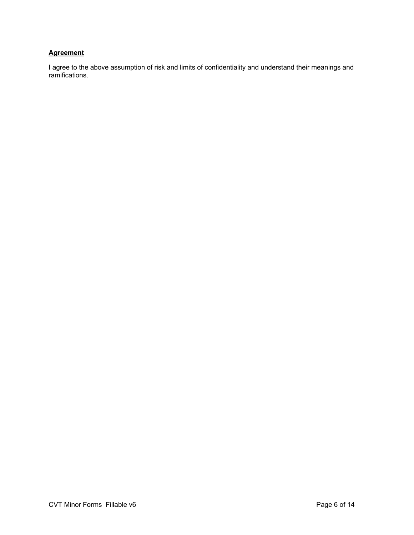## **Agreement**

I agree to the above assumption of risk and limits of confidentiality and understand their meanings and ramifications.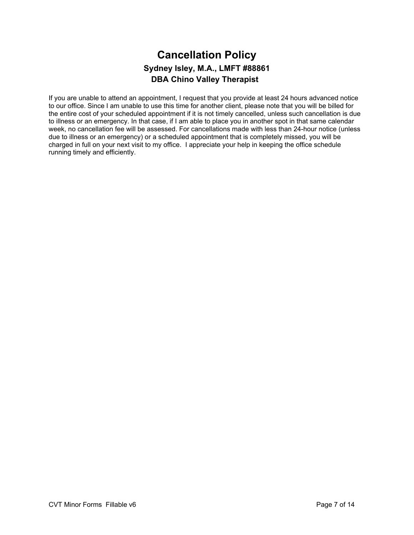## **Cancellation Policy Sydney Isley, M.A., LMFT #88861 DBA Chino Valley Therapist**

If you are unable to attend an appointment, I request that you provide at least 24 hours advanced notice to our office. Since I am unable to use this time for another client, please note that you will be billed for the entire cost of your scheduled appointment if it is not timely cancelled, unless such cancellation is due to illness or an emergency. In that case, if I am able to place you in another spot in that same calendar week, no cancellation fee will be assessed. For cancellations made with less than 24-hour notice (unless due to illness or an emergency) or a scheduled appointment that is completely missed, you will be charged in full on your next visit to my office. I appreciate your help in keeping the office schedule running timely and efficiently.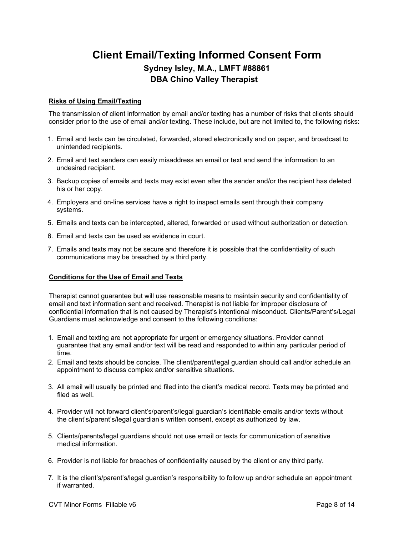# **Client Email/Texting Informed Consent Form Sydney Isley, M.A., LMFT #88861 DBA Chino Valley Therapist**

## **Risks of Using Email/Texting**

The transmission of client information by email and/or texting has a number of risks that clients should consider prior to the use of email and/or texting. These include, but are not limited to, the following risks:

- 1. Email and texts can be circulated, forwarded, stored electronically and on paper, and broadcast to unintended recipients.
- 2. Email and text senders can easily misaddress an email or text and send the information to an undesired recipient.
- 3. Backup copies of emails and texts may exist even after the sender and/or the recipient has deleted his or her copy.
- 4. Employers and on-line services have a right to inspect emails sent through their company systems.
- 5. Emails and texts can be intercepted, altered, forwarded or used without authorization or detection.
- 6. Email and texts can be used as evidence in court.
- 7. Emails and texts may not be secure and therefore it is possible that the confidentiality of such communications may be breached by a third party.

### **Conditions for the Use of Email and Texts**

Therapist cannot guarantee but will use reasonable means to maintain security and confidentiality of email and text information sent and received. Therapist is not liable for improper disclosure of confidential information that is not caused by Therapist's intentional misconduct. Clients/Parent's/Legal Guardians must acknowledge and consent to the following conditions:

- 1. Email and texting are not appropriate for urgent or emergency situations. Provider cannot guarantee that any email and/or text will be read and responded to within any particular period of time.
- 2. Email and texts should be concise. The client/parent/legal guardian should call and/or schedule an appointment to discuss complex and/or sensitive situations.
- 3. All email will usually be printed and filed into the client's medical record. Texts may be printed and filed as well.
- 4. Provider will not forward client's/parent's/legal guardian's identifiable emails and/or texts without the client's/parent's/legal guardian's written consent, except as authorized by law.
- 5. Clients/parents/legal guardians should not use email or texts for communication of sensitive medical information.
- 6. Provider is not liable for breaches of confidentiality caused by the client or any third party.
- 7. It is the client's/parent's/legal guardian's responsibility to follow up and/or schedule an appointment if warranted.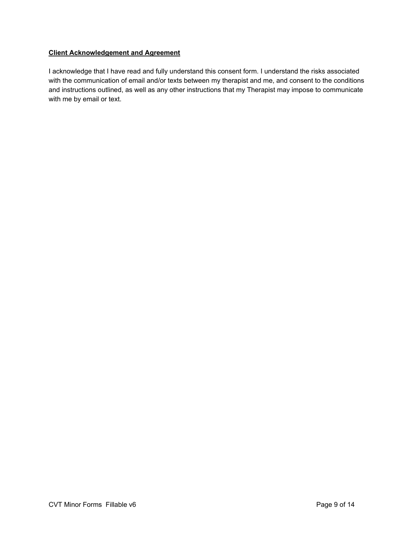## **Client Acknowledgement and Agreement**

I acknowledge that I have read and fully understand this consent form. I understand the risks associated with the communication of email and/or texts between my therapist and me, and consent to the conditions and instructions outlined, as well as any other instructions that my Therapist may impose to communicate with me by email or text.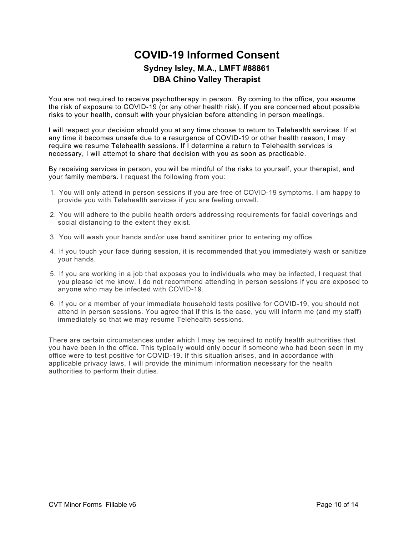# **COVID-19 Informed Consent Sydney Isley, M.A., LMFT #88861 DBA Chino Valley Therapist**

You are not required to receive psychotherapy in person. By coming to the office, you assume the risk of exposure to COVID-19 (or any other health risk). If you are concerned about possible risks to your health, consult with your physician before attending in person meetings.

I will respect your decision should you at any time choose to return to Telehealth services. If at any time it becomes unsafe due to a resurgence of COVID-19 or other health reason, I may require we resume Telehealth sessions. If I determine a return to Telehealth services is necessary, I will attempt to share that decision with you as soon as practicable.

By receiving services in person, you will be mindful of the risks to yourself, your therapist, and your family members. I request the following from you:

- 1. You will only attend in person sessions if you are free of COVID-19 symptoms. I am happy to provide you with Telehealth services if you are feeling unwell.
- 2. You will adhere to the public health orders addressing requirements for facial coverings and social distancing to the extent they exist.
- 3. You will wash your hands and/or use hand sanitizer prior to entering my office.
- 4. If you touch your face during session, it is recommended that you immediately wash or sanitize your hands.
- 5. If you are working in a job that exposes you to individuals who may be infected, I request that you please let me know. I do not recommend attending in person sessions if you are exposed to anyone who may be infected with COVID-19.
- 6. If you or a member of your immediate household tests positive for COVID-19, you should not attend in person sessions. You agree that if this is the case, you will inform me (and my staff) immediately so that we may resume Telehealth sessions.

There are certain circumstances under which I may be required to notify health authorities that you have been in the office. This typically would only occur if someone who had been seen in my office were to test positive for COVID-19. If this situation arises, and in accordance with applicable privacy laws, I will provide the minimum information necessary for the health authorities to perform their duties.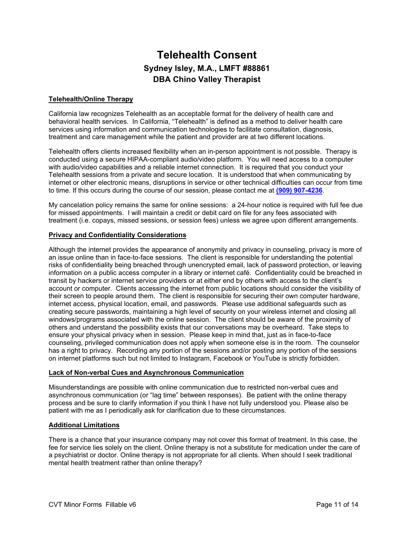## **Telehealth Consent Sydney Isley, M.A., LMFT #88861 DBA Chino Valley Therapist**

## **Telehealth/Online Therapy**

California law recognizes Telehealth as an acceptable format for the delivery of health care and behavioral health services. In California, "Telehealth" is defined as a method to deliver health care services using information and communication technologies to facilitate consultation, diagnosis, treatment and care management while the patient and provider are at two different locations.

Telehealth offers clients increased flexibility when an in-person appointment is not possible. Therapy is conducted using a secure HIPAA-compliant audio/video platform. You will need access to a computer with audio/video capabilities and a reliable internet connection. It is required that you conduct your Telehealth sessions from a private and secure location. It is understood that when communicating by internet or other electronic means, disruptions in service or other technical difficulties can occur from time to time. If this occurs during the course of our session, please contact me at **(909) 907-4236**.

My cancelation policy remains the same for online sessions: a 24-hour notice is required with full fee due for missed appointments. I will maintain a credit or debit card on file for any fees associated with treatment (i.e. copays, missed sessions, or session fees) unless we agree upon different arrangements.

### **Privacy and Confidentiality Considerations**

Although the internet provides the appearance of anonymity and privacy in counseling, privacy is more of an issue online than in face-to-face sessions. The client is responsible for understanding the potential risks of confidentiality being breached through unencrypted email, lack of password protection, or leaving information on a public access computer in a library or internet café. Confidentiality could be breached in transit by hackers or internet service providers or at either end by others with access to the client's account or computer. Clients accessing the internet from public locations should consider the visibility of their screen to people around them. The client is responsible for securing their own computer hardware, internet access, physical location, email, and passwords. Please use additional safeguards such as creating secure passwords, maintaining a high level of security on your wireless internet and closing all windows/programs associated with the online session. The client should be aware of the proximity of others and understand the possibility exists that our conversations may be overheard. Take steps to ensure your physical privacy when in session. Please keep in mind that, just as in face-to-face counseling, privileged communication does not apply when someone else is in the room. The counselor has a right to privacy. Recording any portion of the sessions and/or posting any portion of the sessions on internet platforms such but not limited to Instagram, Facebook or YouTube is strictly forbidden.

### **Lack of Non-verbal Cues and Asynchronous Communication**

Misunderstandings are possible with online communication due to restricted non-verbal cues and asynchronous communication (or "lag time" between responses). Be patient with the online therapy process and be sure to clarify information if you think I have not fully understood you. Please also be patient with me as I periodically ask for clarification due to these circumstances.

### **Additional Limitations**

There is a chance that your insurance company may not cover this format of treatment. In this case, the fee for service lies solely on the client. Online therapy is not a substitute for medication under the care of a psychiatrist or doctor. Online therapy is not appropriate for all clients. When should I seek traditional mental health treatment rather than online therapy?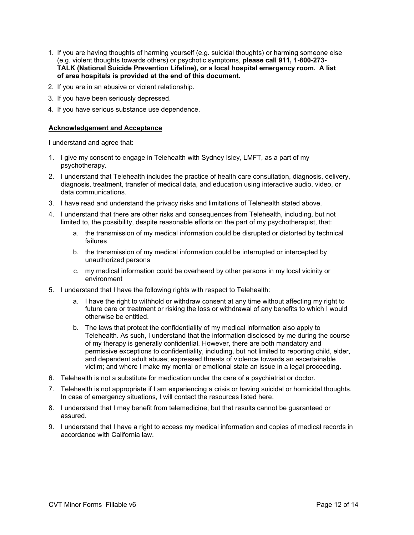- 1. If you are having thoughts of harming yourself (e.g. suicidal thoughts) or harming someone else (e.g. violent thoughts towards others) or psychotic symptoms, **please call 911, 1-800-273- TALK (National Suicide Prevention Lifeline), or a local hospital emergency room. A list of area hospitals is provided at the end of this document.**
- 2. If you are in an abusive or violent relationship.
- 3. If you have been seriously depressed.
- 4. If you have serious substance use dependence.

## **Acknowledgement and Acceptance**

I understand and agree that:

- 1. I give my consent to engage in Telehealth with Sydney Isley, LMFT, as a part of my psychotherapy.
- 2. I understand that Telehealth includes the practice of health care consultation, diagnosis, delivery, diagnosis, treatment, transfer of medical data, and education using interactive audio, video, or data communications.
- 3. I have read and understand the privacy risks and limitations of Telehealth stated above.
- 4. I understand that there are other risks and consequences from Telehealth, including, but not limited to, the possibility, despite reasonable efforts on the part of my psychotherapist, that:
	- a. the transmission of my medical information could be disrupted or distorted by technical failures
	- b. the transmission of my medical information could be interrupted or intercepted by unauthorized persons
	- c. my medical information could be overheard by other persons in my local vicinity or environment
- 5. I understand that I have the following rights with respect to Telehealth:
	- a. I have the right to withhold or withdraw consent at any time without affecting my right to future care or treatment or risking the loss or withdrawal of any benefits to which I would otherwise be entitled.
	- b. The laws that protect the confidentiality of my medical information also apply to Telehealth. As such, I understand that the information disclosed by me during the course of my therapy is generally confidential. However, there are both mandatory and permissive exceptions to confidentiality, including, but not limited to reporting child, elder, and dependent adult abuse; expressed threats of violence towards an ascertainable victim; and where I make my mental or emotional state an issue in a legal proceeding.
- 6. Telehealth is not a substitute for medication under the care of a psychiatrist or doctor.
- 7. Telehealth is not appropriate if I am experiencing a crisis or having suicidal or homicidal thoughts. In case of emergency situations, I will contact the resources listed here.
- 8. I understand that I may benefit from telemedicine, but that results cannot be guaranteed or assured.
- 9. I understand that I have a right to access my medical information and copies of medical records in accordance with California law.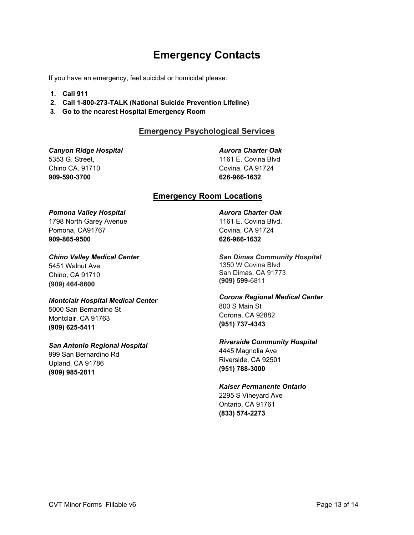# **Emergency Contacts**

If you have an emergency, feel suicidal or homicidal please:

- **1. Call 911**
- **2. Call 1-800-273-TALK (National Suicide Prevention Lifeline)**
- **3. Go to the nearest Hospital Emergency Room**

## **Emergency Psychological Services**

*Canyon Ridge Hospital* 5353 G. Street, Chino CA. 91710 **909-590-3700**

*Aurora Charter Oak* 

1161 E. Covina Blvd Covina, CA 91724 **626-966-1632**

## **Emergency Room Locations**

## *Pomona Valley Hospital*

1798 North Garey Avenue Pomona, CA91767 **909-865-9500**

### *Chino Valley Medical Center*

5451 Walnut Ave Chino, CA 91710 **(909) 464-8600**

### *Montclair Hospital Medical Center*

5000 San Bernardino St Montclair, CA 91763 **(909) 625-5411**

## *San Antonio Regional Hospital*

999 San Bernardino Rd Upland, CA 91786 **(909) 985-2811**

## *Aurora Charter Oak*  1161 E. Covina Blvd. Covina, CA 91724 **626-966-1632**

*San Dimas Community Hospital*  1350 W Covina Blvd San Dimas, CA 91773 **(909) 599-**6811

*Corona Regional Medical Center*  800 S Main St Corona, CA 92882 **(951) 737-4343**

## *Riverside Community Hospital*  4445 Magnolia Ave

Riverside, CA 92501 **(951) 788-3000**

## *Kaiser Permanente Ontario*

2295 S Vineyard Ave Ontario, CA 91761 **(833) 574-2273**